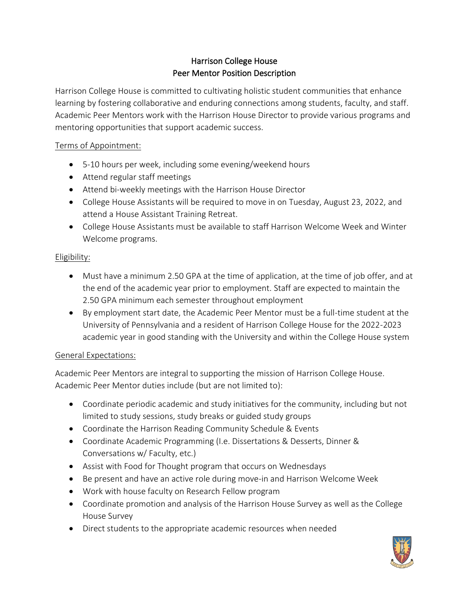# Harrison College House Peer Mentor Position Description

Harrison College House is committed to cultivating holistic student communities that enhance learning by fostering collaborative and enduring connections among students, faculty, and staff. Academic Peer Mentors work with the Harrison House Director to provide various programs and mentoring opportunities that support academic success.

### Terms of Appointment:

- 5-10 hours per week, including some evening/weekend hours
- Attend regular staff meetings
- Attend bi-weekly meetings with the Harrison House Director
- College House Assistants will be required to move in on Tuesday, August 23, 2022, and attend a House Assistant Training Retreat.
- College House Assistants must be available to staff Harrison Welcome Week and Winter Welcome programs.

## Eligibility:

- Must have a minimum 2.50 GPA at the time of application, at the time of job offer, and at the end of the academic year prior to employment. Staff are expected to maintain the 2.50 GPA minimum each semester throughout employment
- By employment start date, the Academic Peer Mentor must be a full-time student at the University of Pennsylvania and a resident of Harrison College House for the 2022-2023 academic year in good standing with the University and within the College House system

### General Expectations:

Academic Peer Mentors are integral to supporting the mission of Harrison College House. Academic Peer Mentor duties include (but are not limited to):

- Coordinate periodic academic and study initiatives for the community, including but not limited to study sessions, study breaks or guided study groups
- Coordinate the Harrison Reading Community Schedule & Events
- Coordinate Academic Programming (I.e. Dissertations & Desserts, Dinner & Conversations w/ Faculty, etc.)
- Assist with Food for Thought program that occurs on Wednesdays
- Be present and have an active role during move-in and Harrison Welcome Week
- Work with house faculty on Research Fellow program
- Coordinate promotion and analysis of the Harrison House Survey as well as the College House Survey
- Direct students to the appropriate academic resources when needed